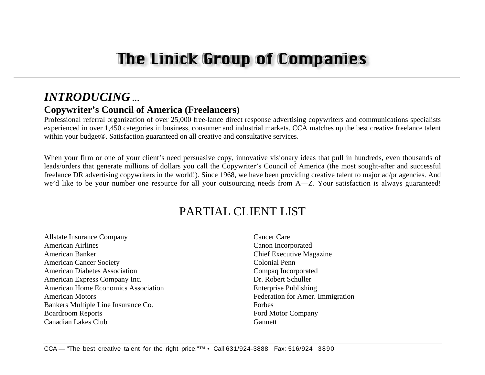# *INTRODUCING* **…**

### **Copywriter's Council of America (Freelancers)**

Professional referral organization of over 25,000 free-lance direct response advertising copywriters and communications specialists experienced in over 1,450 categories in business, consumer and industrial markets. CCA matches up the best creative freelance talent within your budget<sup>®</sup>. Satisfaction guaranteed on all creative and consultative services.

When your firm or one of your client's need persuasive copy, innovative visionary ideas that pull in hundreds, even thousands of leads/orders that generate millions of dollars you call the Copywriter's Council of America (the most sought-after and successful freelance DR advertising copywriters in the world!). Since 1968, we have been providing creative talent to major ad/pr agencies. And we'd like to be your number one resource for all your outsourcing needs from A—Z. Your satisfaction is always guaranteed!

## PARTIAL CLIENT LIST

Allstate Insurance Company American AirlinesAmerican BankerAmerican Cancer Society American Diabetes AssociationAmerican Express Company Inc. American Home Economics AssociationAmerican MotorsBankers Multiple Line Insurance Co. Boardroom Reports Canadian Lakes Club

Cancer CareCanon Incorporated Chief Executive Magazine Colonial PennCompaq Incorporated Dr. Robert SchullerEnterprise Publishing Federation for Amer. Immigration ForbesFord Motor Company **Gannett**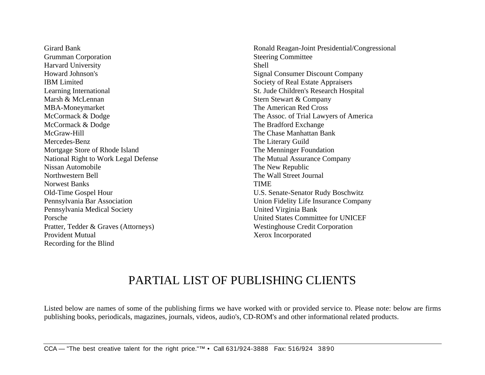Girard BankGrumman Corporation Harvard University Howard Johnson'sIBM LimitedLearning International Marsh & McLennanMBA-Moneymarket McCormack & Dodge McCormack & Dodge McGraw-HillMercedes-BenzMortgage Store of Rhode Island National Right to Work Legal Defense Nissan AutomobileNorthwestern BellNorwest BanksOld-Time Gospel Hour Pennsylvania Bar Association Pennsylvania Medical Society PorschePratter, Tedder & Graves (Attorneys) Provident MutualRecording for the Blind

Ronald Reagan-Joint Presidential/Congressional Steering Committee ShellSignal Consumer Discount Company Society of Real Estate Appraisers St. Jude Children's Research Hospital Stern Stewart & Company The American Red CrossThe Assoc. of Trial Lawyers of America The Bradford Exchange The Chase Manhattan BankThe Literary Guild The Menninger Foundation The Mutual Assurance Company The New Republic The Wall Street JournalTIMEU.S. Senate-Senator Rudy Boschwitz Union Fidelity Life Insurance Company United Virginia Bank United States Committee for UNICEFWestinghouse Credit Corporation Xerox Incorporated

### PARTIAL LIST OF PUBLISHING CLIENTS

Listed below are names of some of the publishing firms we have worked with or provided service to. Please note: below are firms publishing books, periodicals, magazines, journals, videos, audio's, CD-ROM's and other informational related products.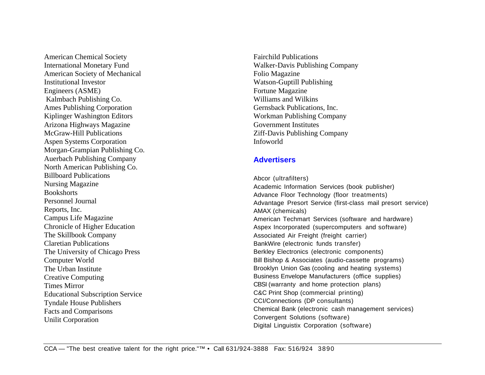American Chemical Society International Monetary Fund American Society of Mechanical Institutional InvestorEngineers (ASME) Kalmbach Publishing Co. Ames Publishing Corporation Kiplinger Washington Editors Arizona Highways Magazine McGraw-Hill PublicationsAspen Systems Corporation Morgan-Grampian Publishing Co. Auerbach Publishing Company North American Publishing Co. Billboard PublicationsNursing Magazine **Bookshorts** Personnel JournalReports, Inc. Campus Life Magazine Chronicle of Higher Education The Skillbook Company Claretian PublicationsThe University of Chicago Press Computer World The Urban InstituteCreative Computing Times MirrorEducational Subscription Service Tyndale House Publishers Facts and Comparisons Unilit Corporation

Fairchild PublicationsWalker-Davis Publishing Company Folio Magazine Watson-Guptill Publishing Fortune Magazine Williams and WilkinsGernsback Publications, Inc. Workman Publishing Company Government InstitutesZiff-Davis Publishing Company Infoworld

#### **Advertisers**

Abcor (ultrafilters) Academic Information Services (book publisher) Advance Floor Technology (floor treatments) Advantage Presort Service (first-class mail presort service) AMAX (chemicals) American Techmart Services (software and hardware) Aspex Incorporated (supercomputers and software) Associated Air Freight (freight carrier) BankWire (electronic funds transfer) Berkley Electronics (electronic components) Bill Bishop & Associates (audio-cassette programs) Brooklyn Union Gas (cooling and heating systems) Business Envelope Manufacturers (office supplies) CBSI (warranty and home protection plans) C&C Print Shop (commercial printing) CCI/Connections (DP consultants) Chemical Bank (electronic cash management services) Convergent Solutions (software) Digital Linguistix Corporation (software)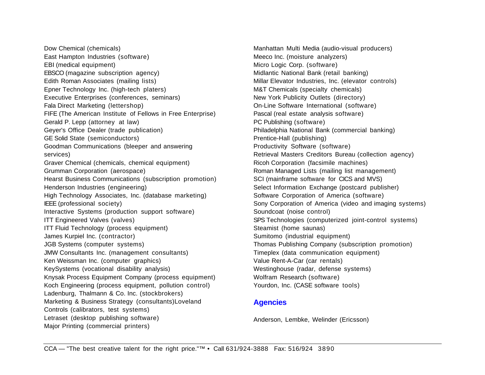Dow Chemical (chemicals) East Hampton Industries (software) EBI (medical equipment) EBSCO (magazine subscription agency) Edith Roman Associates (mailing lists) Epner Technology Inc. (high-tech platers) Executive Enterprises (conferences, seminars) Fala Direct Marketing (lettershop) FIFE (The American Institute of Fellows in Free Enterprise) Gerald P. Lepp (attorney at law) Geyer's Office Dealer (trade publication) GE Solid State (semiconductors) Goodman Communications (bleeper and answering services) Graver Chemical (chemicals, chemical equipment) Grumman Corporation (aerospace) Hearst Business Communications (subscription promotion) Henderson Industries (engineering) High Technology Associates, Inc. (database marketing) IEEE (professional society) Interactive Systems (production support software) ITT Engineered Valves (valves) ITT Fluid Technology (process equipment) James Kurpiel Inc. (contractor) JGB Systems (computer systems) JMW Consultants Inc. (management consultants) Ken Weissman Inc. (computer graphics) KeySystems (vocational disability analysis) Knysak Process Equipment Company (process equipment) Koch Engineering (process equipment, pollution control) Ladenburg, Thalmann & Co. Inc. (stockbrokers) Marketing & Business Strategy (consultants)Loveland Controls (calibrators, test systems) Letraset (desktop publishing software) Major Printing (commercial printers)

Manhattan Multi Media (audio-visual producers) Meeco Inc. (moisture analyzers) Micro Logic Corp. (software) Midlantic National Bank (retail banking) Millar Elevator Industries, Inc. (elevator controls) M&T Chemicals (specialty chemicals) New York Publicity Outlets (directory) On-Line Software International (software) Pascal (real estate analysis software) PC Publishing (software) Philadelphia National Bank (commercial banking) Prentice-Hall (publishing) Productivity Software (software) Retrieval Masters Creditors Bureau (collection agency) Ricoh Corporation (facsimile machines) Roman Managed Lists (mailing list management) SCI (mainframe software for CICS and MVS) Select Information Exchange (postcard publisher) Software Corporation of America (software) Sony Corporation of America (video and imaging systems) Soundcoat (noise control) SPS Technologies (computerized joint-control systems) Steamist (home saunas) Sumitomo (industrial equipment) Thomas Publishing Company (subscription promotion) Timeplex (data communication equipment) Value Rent-A-Car (car rentals) Westinghouse (radar, defense systems) Wolfram Research (software) Yourdon, Inc. (CASE software tools)

#### **Agencies**

Anderson, Lembke, Welinder (Ericsson)